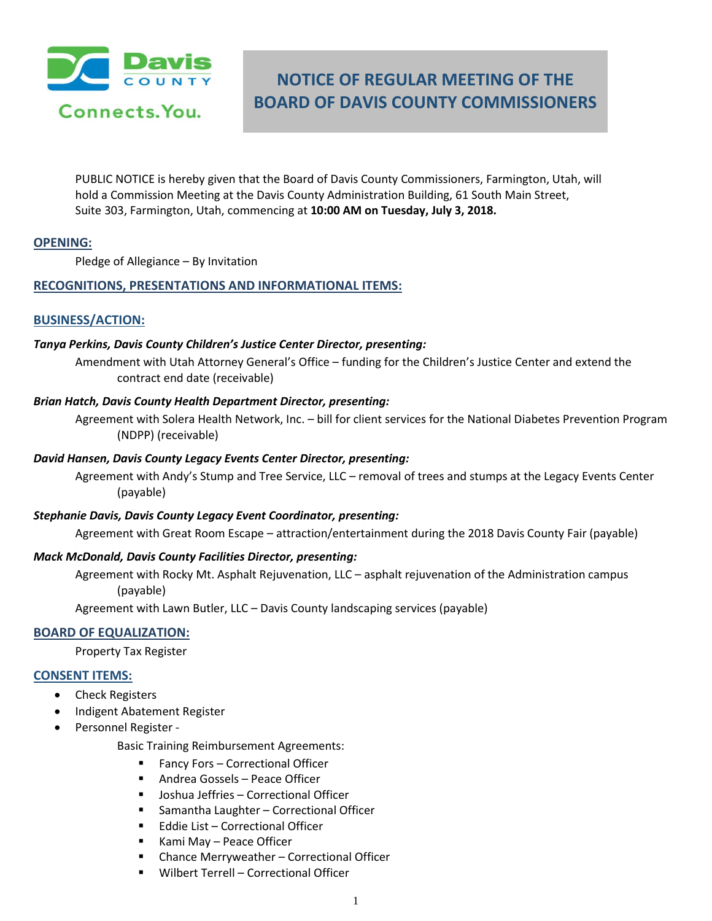

# **NOTICE OF REGULAR MEETING OF THE BOARD OF DAVIS COUNTY COMMISSIONERS**

PUBLIC NOTICE is hereby given that the Board of Davis County Commissioners, Farmington, Utah, will hold a Commission Meeting at the Davis County Administration Building, 61 South Main Street, Suite 303, Farmington, Utah, commencing at **10:00 AM on Tuesday, July 3, 2018.**

# **OPENING:**

Pledge of Allegiance – By Invitation

# **RECOGNITIONS, PRESENTATIONS AND INFORMATIONAL ITEMS:**

# **BUSINESS/ACTION:**

#### *Tanya Perkins, Davis County Children's Justice Center Director, presenting:*

Amendment with Utah Attorney General's Office – funding for the Children's Justice Center and extend the contract end date (receivable)

## *Brian Hatch, Davis County Health Department Director, presenting:*

Agreement with Solera Health Network, Inc. – bill for client services for the National Diabetes Prevention Program (NDPP) (receivable)

## *David Hansen, Davis County Legacy Events Center Director, presenting:*

Agreement with Andy's Stump and Tree Service, LLC – removal of trees and stumps at the Legacy Events Center (payable)

#### *Stephanie Davis, Davis County Legacy Event Coordinator, presenting:*

Agreement with Great Room Escape – attraction/entertainment during the 2018 Davis County Fair (payable)

#### *Mack McDonald, Davis County Facilities Director, presenting:*

Agreement with Rocky Mt. Asphalt Rejuvenation, LLC – asphalt rejuvenation of the Administration campus (payable)

Agreement with Lawn Butler, LLC – Davis County landscaping services (payable)

# **BOARD OF EQUALIZATION:**

Property Tax Register

#### **CONSENT ITEMS:**

- Check Registers
- Indigent Abatement Register
- Personnel Register -

Basic Training Reimbursement Agreements:

- Fancy Fors Correctional Officer
- Andrea Gossels Peace Officer
- Joshua Jeffries Correctional Officer
- Samantha Laughter Correctional Officer
- **Eddie List Correctional Officer**
- Kami May Peace Officer
- Chance Merryweather Correctional Officer
- Wilbert Terrell Correctional Officer